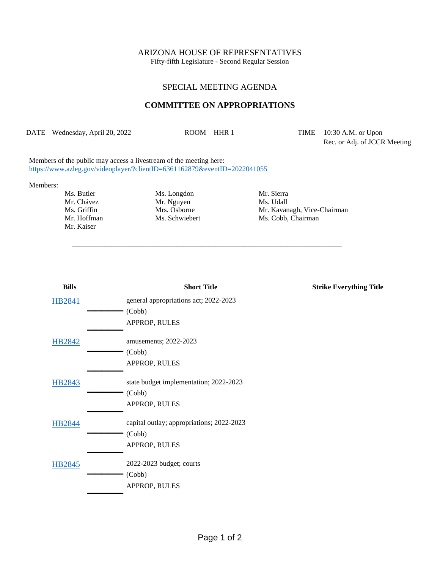## ARIZONA HOUSE OF REPRESENTATIVES

Fifty-fifth Legislature - Second Regular Session

## SPECIAL MEETING AGENDA

## **COMMITTEE ON APPROPRIATIONS**

DATE Wednesday, April 20, 2022 ROOM HHR 1 TIME 10:30 A.M. or Upon

\_\_\_\_\_\_\_\_\_\_\_\_\_\_\_\_\_\_\_\_\_\_\_\_\_\_\_\_\_\_\_\_\_\_\_\_\_\_\_\_\_\_\_\_\_\_\_\_\_\_\_\_\_\_\_\_\_\_\_\_\_\_\_\_\_\_\_\_\_\_\_\_\_\_\_

Rec. or Adj. of JCCR Meeting

Members of the public may access a livestream of the meeting here: <https://www.azleg.gov/videoplayer/?clientID=6361162879&eventID=2022041055>

Members:

- Mr. Kaiser
- Ms. Butler Ms. Longdon Mr. Sierra Mr. Chávez Mr. Nguyen Ms. Udall<br>
Ms. Griffin Mrs. Osborne Mr. Kavan

Ms. Griffin Mrs. Osborne Mr. Kavanagh, Vice-Chairman Mr. Hoffman Ms. Schwiebert Ms. Cobb, Chairman

| <b>Bills</b>  | <b>Short Title</b>                        | <b>Strike Everything Title</b> |
|---------------|-------------------------------------------|--------------------------------|
| <b>HB2841</b> | general appropriations act; 2022-2023     |                                |
|               | (Cobb)                                    |                                |
|               | APPROP, RULES                             |                                |
| <b>HB2842</b> | amusements; 2022-2023                     |                                |
|               | (Cobb)                                    |                                |
|               | APPROP, RULES                             |                                |
| <b>HB2843</b> | state budget implementation; 2022-2023    |                                |
|               | (Cobb)                                    |                                |
|               | APPROP, RULES                             |                                |
| HB2844        | capital outlay; appropriations; 2022-2023 |                                |
|               | (Cobb)                                    |                                |
|               | APPROP, RULES                             |                                |
| HB2845        | 2022-2023 budget; courts                  |                                |
|               | (Cobb)                                    |                                |
|               | APPROP, RULES                             |                                |
|               |                                           |                                |